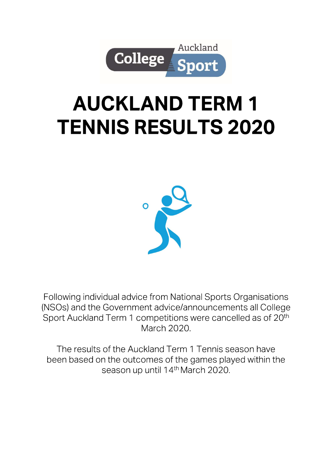

# **AUCKLAND TERM 1 TENNIS RESULTS 2020**



Following individual advice from National Sports Organisations (NSOs) and the Government advice/announcements all College Sport Auckland Term 1 competitions were cancelled as of 20<sup>th</sup> March 2020

The results of the Auckland Term 1 Tennis season have been based on the outcomes of the games played within the season up until 14th March 2020.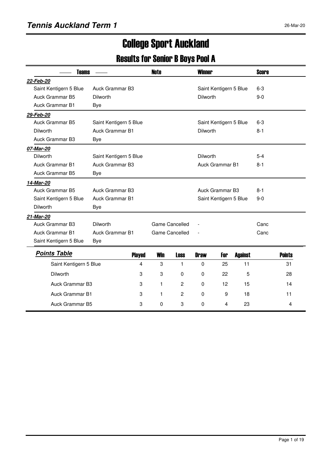# College Sport Auckland

### Results for Senior B Boys Pool A

| <b>Teams</b>           |                        | <b>Note</b> |                       | <b>Winner</b>   |                        |                        | <b>Score</b> |               |
|------------------------|------------------------|-------------|-----------------------|-----------------|------------------------|------------------------|--------------|---------------|
| 22-Feb-20              |                        |             |                       |                 |                        |                        |              |               |
| Saint Kentigern 5 Blue | Auck Grammar B3        |             |                       |                 |                        | Saint Kentigern 5 Blue | $6 - 3$      |               |
| Auck Grammar B5        | Dilworth               |             |                       | Dilworth        |                        |                        | $9 - 0$      |               |
| <b>Auck Grammar B1</b> | <b>Bye</b>             |             |                       |                 |                        |                        |              |               |
| 29-Feb-20              |                        |             |                       |                 |                        |                        |              |               |
| Auck Grammar B5        | Saint Kentigern 5 Blue |             |                       |                 |                        | Saint Kentigern 5 Blue | $6 - 3$      |               |
| Dilworth               | Auck Grammar B1        |             |                       | <b>Dilworth</b> |                        |                        | $8 - 1$      |               |
| Auck Grammar B3        | Bye                    |             |                       |                 |                        |                        |              |               |
| 07-Mar-20              |                        |             |                       |                 |                        |                        |              |               |
| Dilworth               | Saint Kentigern 5 Blue |             |                       | <b>Dilworth</b> |                        |                        | $5 - 4$      |               |
| <b>Auck Grammar B1</b> | Auck Grammar B3        |             |                       |                 | <b>Auck Grammar B1</b> |                        | $8 - 1$      |               |
| Auck Grammar B5        | Bye                    |             |                       |                 |                        |                        |              |               |
| 14-Mar-20              |                        |             |                       |                 |                        |                        |              |               |
| Auck Grammar B5        | Auck Grammar B3        |             |                       |                 | Auck Grammar B3        |                        | $8 - 1$      |               |
| Saint Kentigern 5 Blue | <b>Auck Grammar B1</b> |             |                       |                 |                        | Saint Kentigern 5 Blue | $9 - 0$      |               |
| Dilworth               | Bye                    |             |                       |                 |                        |                        |              |               |
| 21-Mar-20              |                        |             |                       |                 |                        |                        |              |               |
| Auck Grammar B3        | Dilworth               |             | Game Cancelled        |                 |                        |                        | Canc         |               |
| <b>Auck Grammar B1</b> | <b>Auck Grammar B1</b> |             | <b>Game Cancelled</b> | $\overline{a}$  |                        |                        | Canc         |               |
| Saint Kentigern 5 Blue | Bye                    |             |                       |                 |                        |                        |              |               |
| <b>Points Table</b>    | <b>Played</b>          | <b>Win</b>  | <b>Loss</b>           | <b>Draw</b>     | For                    | <b>Against</b>         |              | <b>Points</b> |
| Saint Kentigern 5 Blue | 4                      | 3           | 1                     | 0               | 25                     | 11                     |              | 31            |
| <b>Dilworth</b>        | 3                      | 3           | 0                     | 0               | 22                     | 5                      |              | 28            |
|                        |                        |             |                       |                 |                        |                        |              |               |
| Auck Grammar B3        | 3                      | 1           | 2                     | 0               | 12                     | 15                     |              | 14            |
| Auck Grammar B1        | 3                      | 1           | 2                     | $\Omega$        | 9                      | 18                     |              | 11            |

Auck Grammar B5 3 0 3 0 4 23 4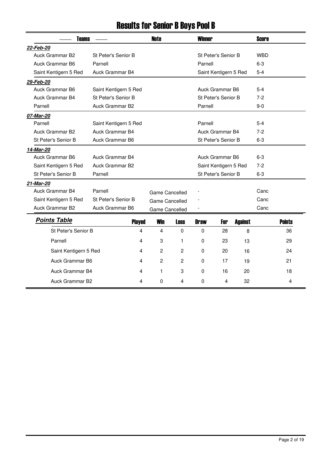# Results for Senior B Boys Pool B

| <b>Teams</b>          |                       |   | <b>Note</b>           |                | <b>Winner</b> |                       |                | <b>Score</b> |               |  |
|-----------------------|-----------------------|---|-----------------------|----------------|---------------|-----------------------|----------------|--------------|---------------|--|
| 22-Feb-20             |                       |   |                       |                |               |                       |                |              |               |  |
| Auck Grammar B2       | St Peter's Senior B   |   |                       |                |               | St Peter's Senior B   |                | <b>WBD</b>   |               |  |
| Auck Grammar B6       | Parnell               |   |                       |                | Parnell       |                       |                | $6 - 3$      |               |  |
| Saint Kentigern 5 Red | Auck Grammar B4       |   |                       |                |               | Saint Kentigern 5 Red |                | $5 - 4$      |               |  |
| 29-Feb-20             |                       |   |                       |                |               |                       |                |              |               |  |
| Auck Grammar B6       | Saint Kentigern 5 Red |   |                       |                |               | Auck Grammar B6       |                | $5 - 4$      |               |  |
| Auck Grammar B4       | St Peter's Senior B   |   |                       |                |               | St Peter's Senior B   |                | $7-2$        |               |  |
| Parnell               | Auck Grammar B2       |   |                       |                | Parnell       |                       |                | $9-0$        |               |  |
| 07-Mar-20             |                       |   |                       |                |               |                       |                |              |               |  |
| Parnell               | Saint Kentigern 5 Red |   |                       |                | Parnell       |                       |                | $5-4$        |               |  |
| Auck Grammar B2       | Auck Grammar B4       |   |                       |                |               | Auck Grammar B4       |                | $7-2$        |               |  |
| St Peter's Senior B   | Auck Grammar B6       |   |                       |                |               | St Peter's Senior B   |                | $6 - 3$      |               |  |
| 14-Mar-20             |                       |   |                       |                |               |                       |                |              |               |  |
| Auck Grammar B6       | Auck Grammar B4       |   |                       |                |               | Auck Grammar B6       |                | $6 - 3$      |               |  |
| Saint Kentigern 5 Red | Auck Grammar B2       |   |                       |                |               | Saint Kentigern 5 Red |                | $7-2$        |               |  |
| St Peter's Senior B   | Parnell               |   |                       |                |               | St Peter's Senior B   |                | $6 - 3$      |               |  |
| 21-Mar-20             |                       |   |                       |                |               |                       |                |              |               |  |
| Auck Grammar B4       | Parnell               |   | Game Cancelled        |                |               |                       |                | Canc         |               |  |
| Saint Kentigern 5 Red | St Peter's Senior B   |   | <b>Game Cancelled</b> |                |               |                       |                | Canc         |               |  |
| Auck Grammar B2       | Auck Grammar B6       |   | Game Cancelled        |                |               |                       |                | Canc         |               |  |
| <b>Points Table</b>   | <b>Played</b>         |   | <b>Win</b>            | <b>Loss</b>    | <b>Draw</b>   | For                   | <b>Against</b> |              | <b>Points</b> |  |
| St Peter's Senior B   |                       | 4 | $\overline{4}$        | $\Omega$       | 0             | 28                    | 8              |              | 36            |  |
| Parnell               |                       | 4 | 3                     | 1              | $\mathbf 0$   | 23                    | 13             |              | 29            |  |
| Saint Kentigern 5 Red |                       | 4 | $\overline{c}$        | $\overline{c}$ | $\mathbf 0$   | 20                    | 16             |              | 24            |  |
| Auck Grammar B6       |                       | 4 | $\overline{c}$        | $\overline{c}$ | $\mathbf 0$   | 17                    | 19             |              | 21            |  |
| Auck Grammar B4       |                       | 4 | 1                     | 3              | 0             | 16                    | 20             |              | 18            |  |
| Auck Grammar B2       |                       | 4 | 0                     | 4              | 0             | 4                     | 32             |              | 4             |  |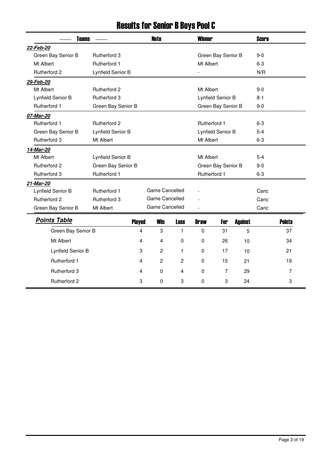# Results for Senior B Boys Pool C

| <b>Teams</b>        |                     | <b>Note</b>   |                |                | <b>Winner</b> |                    |                | <b>Score</b> |               |
|---------------------|---------------------|---------------|----------------|----------------|---------------|--------------------|----------------|--------------|---------------|
| 22-Feb-20           |                     |               |                |                |               |                    |                |              |               |
| Green Bay Senior B  | <b>Rutherford 3</b> |               |                |                |               | Green Bay Senior B |                | $9 - 0$      |               |
| Mt Albert           | Rutherford 1        |               |                |                | Mt Albert     |                    |                | $6 - 3$      |               |
| Rutherford 2        | Lynfield Senior B   |               |                |                |               |                    |                | N/R          |               |
| 29-Feb-20           |                     |               |                |                |               |                    |                |              |               |
| Mt Albert           | <b>Rutherford 2</b> |               |                |                | Mt Albert     |                    |                | $9 - 0$      |               |
| Lynfield Senior B   | Rutherford 3        |               |                |                |               | Lynfield Senior B  |                | $8 - 1$      |               |
| Rutherford 1        | Green Bay Senior B  |               |                |                |               | Green Bay Senior B |                | $9-0$        |               |
| 07-Mar-20           |                     |               |                |                |               |                    |                |              |               |
| <b>Rutherford 1</b> | <b>Rutherford 2</b> |               |                |                | Rutherford 1  |                    |                | $6 - 3$      |               |
| Green Bay Senior B  | Lynfield Senior B   |               |                |                |               | Lynfield Senior B  |                | $5-4$        |               |
| Rutherford 3        | Mt Albert           |               |                |                | Mt Albert     |                    |                | $6 - 3$      |               |
| 14-Mar-20           |                     |               |                |                |               |                    |                |              |               |
| Mt Albert           | Lynfield Senior B   |               |                |                | Mt Albert     |                    |                | $5-4$        |               |
| <b>Rutherford 2</b> | Green Bay Senior B  |               |                |                |               | Green Bay Senior B |                | $9 - 0$      |               |
| Rutherford 3        | Rutherford 1        |               |                |                | Rutherford 1  |                    |                | $6 - 3$      |               |
| 21-Mar-20           |                     |               |                |                |               |                    |                |              |               |
| Lynfield Senior B   | Rutherford 1        |               | Game Cancelled |                |               |                    |                | Canc         |               |
| <b>Rutherford 2</b> | Rutherford 3        |               | Game Cancelled |                |               |                    |                | Canc         |               |
| Green Bay Senior B  | Mt Albert           |               | Game Cancelled |                |               |                    |                | Canc         |               |
| <b>Points Table</b> |                     | <b>Played</b> | <b>Win</b>     | <b>Loss</b>    | <b>Draw</b>   | For                | <b>Against</b> |              | <b>Points</b> |
| Green Bay Senior B  |                     | 4             | 3              | 1              | $\mathbf 0$   | 31                 | 5              |              | 37            |
| Mt Albert           |                     | 4             | 4              | $\Omega$       | 0             | 26                 | 10             |              | 34            |
| Lynfield Senior B   |                     | 3             | $\overline{c}$ | 1              | 0             | 17                 | 10             |              | 21            |
| <b>Rutherford 1</b> |                     | 4             | 2              | 2              | $\mathbf 0$   | 15                 | 21             |              | 19            |
| <b>Rutherford 3</b> |                     | 4             | 0              | $\overline{4}$ | $\pmb{0}$     | $\overline{7}$     | 29             |              | 7             |
| <b>Rutherford 2</b> |                     | 3             | 0              | 3              | 0             | 3                  | 24             |              | 3             |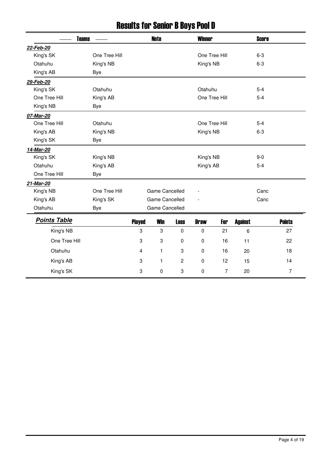# Results for Senior B Boys Pool D

| <b>Teams</b>        |               | <b>Note</b>    |                |                | <b>Winner</b> |                |                | <b>Score</b> |                |
|---------------------|---------------|----------------|----------------|----------------|---------------|----------------|----------------|--------------|----------------|
| 22-Feb-20           |               |                |                |                |               |                |                |              |                |
| King's SK           | One Tree Hill |                |                |                | One Tree Hill |                |                | $6-3$        |                |
| Otahuhu             | King's NB     |                |                |                | King's NB     |                |                | $6-3$        |                |
| King's AB           | Bye           |                |                |                |               |                |                |              |                |
| 29-Feb-20           |               |                |                |                |               |                |                |              |                |
| King's SK           | Otahuhu       |                |                |                | Otahuhu       |                |                | $5 - 4$      |                |
| One Tree Hill       | King's AB     |                |                |                | One Tree Hill |                |                | $5-4$        |                |
| King's NB           | Bye           |                |                |                |               |                |                |              |                |
| 07-Mar-20           |               |                |                |                |               |                |                |              |                |
| One Tree Hill       | Otahuhu       |                |                |                | One Tree Hill |                |                | $5-4$        |                |
| King's AB           | King's NB     |                |                |                | King's NB     |                |                | $6-3$        |                |
| King's SK           | Bye           |                |                |                |               |                |                |              |                |
| 14-Mar-20           |               |                |                |                |               |                |                |              |                |
| King's SK           | King's NB     |                |                |                | King's NB     |                |                | $9-0$        |                |
| Otahuhu             | King's AB     |                |                |                | King's AB     |                |                | $5 - 4$      |                |
| One Tree Hill       | <b>Bye</b>    |                |                |                |               |                |                |              |                |
| 21-Mar-20           |               |                |                |                |               |                |                |              |                |
| King's NB           | One Tree Hill |                | Game Cancelled |                |               |                |                | Canc         |                |
| King's AB           | King's SK     |                | Game Cancelled |                |               |                |                | Canc         |                |
| Otahuhu             | <b>Bye</b>    |                | Game Cancelled |                |               |                |                |              |                |
| <b>Points Table</b> |               | <b>Played</b>  | <b>Win</b>     | <b>Loss</b>    | <b>Draw</b>   | For            | <b>Against</b> |              | <b>Points</b>  |
| King's NB           |               | 3              | 3              | $\mathbf 0$    | $\pmb{0}$     | 21             | 6              |              | 27             |
| One Tree Hill       |               | 3              | 3              | 0              | 0             | 16             | 11             |              | 22             |
| Otahuhu             |               | $\overline{4}$ | 1              | 3              | $\pmb{0}$     | 16             | 20             |              | 18             |
| King's AB           |               | 3              | 1              | $\overline{c}$ | 0             | 12             | 15             |              | 14             |
| King's SK           |               | 3              | $\pmb{0}$      | 3              | $\pmb{0}$     | $\overline{7}$ | 20             |              | $\overline{7}$ |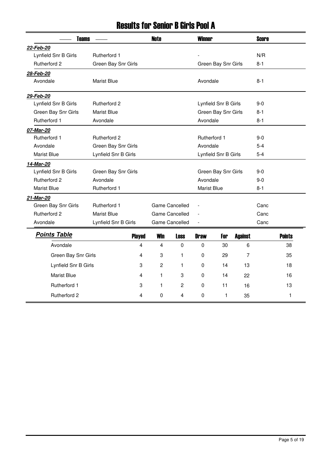## Results for Senior B Girls Pool A

| <b>Teams</b>         |                      | <b>Note</b>  |                       | <b>Winner</b> |                      |                | <b>Score</b> |               |
|----------------------|----------------------|--------------|-----------------------|---------------|----------------------|----------------|--------------|---------------|
| 22-Feb-20            |                      |              |                       |               |                      |                |              |               |
| Lynfield Snr B Girls | Rutherford 1         |              |                       |               |                      |                | N/R          |               |
| <b>Rutherford 2</b>  | Green Bay Snr Girls  |              |                       |               | Green Bay Snr Girls  |                | $8 - 1$      |               |
| 28-Feb-20            |                      |              |                       |               |                      |                |              |               |
| Avondale             | <b>Marist Blue</b>   |              |                       | Avondale      |                      |                | $8 - 1$      |               |
| 29-Feb-20            |                      |              |                       |               |                      |                |              |               |
| Lynfield Snr B Girls | Rutherford 2         |              |                       |               | Lynfield Snr B Girls |                | $9-0$        |               |
| Green Bay Snr Girls  | <b>Marist Blue</b>   |              |                       |               | Green Bay Snr Girls  |                | $8 - 1$      |               |
| Rutherford 1         | Avondale             |              |                       | Avondale      |                      |                | $8 - 1$      |               |
| 07-Mar-20            |                      |              |                       |               |                      |                |              |               |
| Rutherford 1         | <b>Rutherford 2</b>  |              |                       | Rutherford 1  |                      |                | $9-0$        |               |
| Avondale             | Green Bay Snr Girls  |              |                       | Avondale      |                      |                | $5 - 4$      |               |
| <b>Marist Blue</b>   | Lynfield Snr B Girls |              |                       |               | Lynfield Snr B Girls |                | $5 - 4$      |               |
| 14-Mar-20            |                      |              |                       |               |                      |                |              |               |
| Lynfield Snr B Girls | Green Bay Snr Girls  |              |                       |               | Green Bay Snr Girls  |                | $9-0$        |               |
| <b>Rutherford 2</b>  | Avondale             |              |                       | Avondale      |                      |                | $9-0$        |               |
| <b>Marist Blue</b>   | Rutherford 1         |              |                       | Marist Blue   |                      |                | $8 - 1$      |               |
| 21-Mar-20            |                      |              |                       |               |                      |                |              |               |
| Green Bay Snr Girls  | Rutherford 1         |              | Game Cancelled        |               |                      |                | Canc         |               |
| <b>Rutherford 2</b>  | <b>Marist Blue</b>   |              | <b>Game Cancelled</b> |               |                      |                | Canc         |               |
| Avondale             | Lynfield Snr B Girls |              | Game Cancelled        |               |                      |                | Canc         |               |
| <b>Points Table</b>  | <b>Played</b>        | <b>Win</b>   | <b>Loss</b>           | <b>Draw</b>   | For                  | <b>Against</b> |              | <b>Points</b> |
| Avondale             | 4                    | 4            | $\mathbf 0$           | 0             | 30                   | 6              |              | 38            |
| Green Bay Snr Girls  | 4                    | 3            | 1                     | 0             | 29                   | 7              |              | 35            |
| Lynfield Snr B Girls | 3                    | $\mathbf{2}$ | 1                     | 0             | 14                   | 13             |              | 18            |
| <b>Marist Blue</b>   | 4                    | 1            | 3                     | $\Omega$      | 14                   | 22             |              | 16            |
| Rutherford 1         | 3                    | 1            | $\overline{c}$        | $\pmb{0}$     | 11                   | 16             |              | 13            |
| <b>Rutherford 2</b>  | 4                    | 0            | 4                     | $\mathbf{0}$  | $\mathbf{1}$         | 35             |              | $\mathbf{1}$  |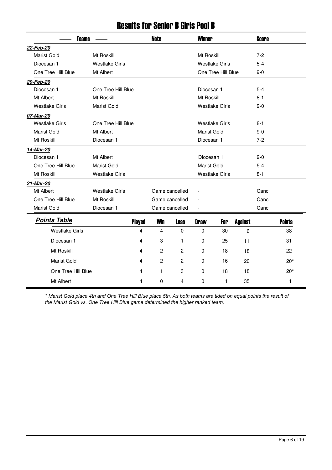#### Results for Senior B Girls Pool B

| <b>Teams</b>          |                       |               | <b>Note</b>    | <b>Winner</b>  |                    |                       |                | Score   |               |
|-----------------------|-----------------------|---------------|----------------|----------------|--------------------|-----------------------|----------------|---------|---------------|
| 22-Feb-20             |                       |               |                |                |                    |                       |                |         |               |
| <b>Marist Gold</b>    | Mt Roskill            |               |                |                | Mt Roskill         |                       |                | $7 - 2$ |               |
| Diocesan 1            | <b>Westlake Girls</b> |               |                |                |                    | <b>Westlake Girls</b> |                | $5-4$   |               |
| One Tree Hill Blue    | Mt Albert             |               |                |                |                    | One Tree Hill Blue    |                | 9-0     |               |
| 29-Feb-20             |                       |               |                |                |                    |                       |                |         |               |
| Diocesan 1            | One Tree Hill Blue    |               |                |                | Diocesan 1         |                       |                | $5 - 4$ |               |
| Mt Albert             | Mt Roskill            |               |                |                | Mt Roskill         |                       |                | $8 - 1$ |               |
| <b>Westlake Girls</b> | <b>Marist Gold</b>    |               |                |                |                    | <b>Westlake Girls</b> |                | $9-0$   |               |
| 07-Mar-20             |                       |               |                |                |                    |                       |                |         |               |
| <b>Westlake Girls</b> | One Tree Hill Blue    |               |                |                |                    | <b>Westlake Girls</b> |                | $8 - 1$ |               |
| Marist Gold           | Mt Albert             |               |                |                | Marist Gold        |                       |                | $9-0$   |               |
| Mt Roskill            | Diocesan 1            |               |                |                | Diocesan 1         |                       |                | $7 - 2$ |               |
| 14-Mar-20             |                       |               |                |                |                    |                       |                |         |               |
| Diocesan 1            | Mt Albert             |               |                |                | Diocesan 1         |                       |                | $9-0$   |               |
| One Tree Hill Blue    | <b>Marist Gold</b>    |               |                |                | <b>Marist Gold</b> |                       |                | $5-4$   |               |
| Mt Roskill            | <b>Westlake Girls</b> |               |                |                |                    | <b>Westlake Girls</b> |                | 8-1     |               |
| 21-Mar-20             |                       |               |                |                |                    |                       |                |         |               |
| Mt Albert             | <b>Westlake Girls</b> |               | Game cancelled |                | $\overline{a}$     |                       |                | Canc    |               |
| One Tree Hill Blue    | Mt Roskill            |               | Game cancelled |                |                    |                       |                | Canc    |               |
| Marist Gold           | Diocesan 1            |               | Game cancelled |                |                    |                       |                | Canc    |               |
| <b>Points Table</b>   |                       | <b>Played</b> | <b>Win</b>     | <b>Loss</b>    | <b>Draw</b>        | For                   | <b>Against</b> |         | <b>Points</b> |
| <b>Westlake Girls</b> |                       | 4             | 4              | $\Omega$       | 0                  | 30                    | 6              |         | 38            |
| Diocesan 1            |                       | 4             | 3              | 1              | 0                  | 25                    | 11             |         | 31            |
|                       |                       |               |                |                |                    |                       |                |         |               |
| Mt Roskill            |                       | 4             | $\overline{c}$ | $\overline{c}$ | 0                  | 18                    | 18             |         | 22            |
| Marist Gold           |                       | 4             | $\overline{c}$ | $\overline{c}$ | $\Omega$           | 16                    | 20             |         | $20*$         |
| One Tree Hill Blue    |                       | 4             | 1              | 3              | $\mathbf 0$        | 18                    | 18             |         | $20*$         |
| Mt Albert             |                       | 4             | 0              | 4              | $\mathbf 0$        | $\mathbf{1}$          | 35             |         | 1             |

*\* Marist Gold place 4th and One Tree Hill Blue place 5th. As both teams are tided on equal points the result of the Marist Gold vs. One Tree Hill Blue game determined the higher ranked team.*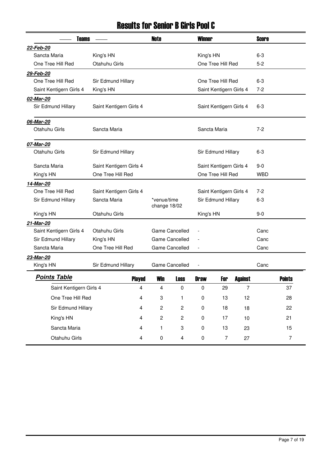### Results for Senior B Girls Pool C

|                                         | Teams                   |   |                             |                       | <b>Winner</b>                |                         |                | <b>Score</b> |               |
|-----------------------------------------|-------------------------|---|-----------------------------|-----------------------|------------------------------|-------------------------|----------------|--------------|---------------|
| 22-Feb-20                               |                         |   |                             |                       |                              |                         |                |              |               |
| Sancta Maria                            | King's HN               |   |                             |                       | King's HN                    |                         |                | $6 - 3$      |               |
| One Tree Hill Red                       | Otahuhu Girls           |   |                             |                       |                              | One Tree Hill Red       |                | $5 - 2$      |               |
| 29-Feb-20                               |                         |   |                             |                       |                              |                         |                |              |               |
| One Tree Hill Red                       | Sir Edmund Hillary      |   |                             |                       |                              | One Tree Hill Red       |                | $6 - 3$      |               |
| Saint Kentigern Girls 4                 | King's HN               |   |                             |                       |                              | Saint Kentigern Girls 4 |                | $7-2$        |               |
| 02-Mar-20                               |                         |   |                             |                       |                              |                         |                |              |               |
| Sir Edmund Hillary                      | Saint Kentigern Girls 4 |   |                             |                       |                              | Saint Kentigern Girls 4 |                | $6 - 3$      |               |
| 06-Mar-20                               |                         |   |                             |                       |                              |                         |                |              |               |
| Otahuhu Girls                           | Sancta Maria            |   |                             |                       | Sancta Maria                 |                         |                | $7 - 2$      |               |
| 07-Mar-20                               |                         |   |                             |                       |                              |                         |                |              |               |
| Otahuhu Girls                           | Sir Edmund Hillary      |   |                             |                       |                              | Sir Edmund Hillary      |                | 6-3          |               |
| Sancta Maria<br>Saint Kentigern Girls 4 |                         |   |                             |                       | Saint Kentigern Girls 4      |                         |                | $9-0$        |               |
| King's HN                               | One Tree Hill Red       |   |                             |                       |                              | One Tree Hill Red       |                | <b>WBD</b>   |               |
| 14-Mar-20                               |                         |   |                             |                       |                              |                         |                |              |               |
| One Tree Hill Red                       | Saint Kentigern Girls 4 |   |                             |                       |                              | Saint Kentigern Girls 4 |                | $7-2$        |               |
| Sir Edmund Hillary                      | Sancta Maria            |   | *venue/time<br>change 18/02 |                       | Sir Edmund Hillary           |                         |                | $6 - 3$      |               |
| King's HN                               | Otahuhu Girls           |   |                             |                       | King's HN                    |                         |                | $9-0$        |               |
| 21-Mar-20                               |                         |   |                             |                       |                              |                         |                |              |               |
| Saint Kentigern Girls 4                 | Otahuhu Girls           |   |                             | Game Cancelled        |                              |                         |                | Canc         |               |
| Sir Edmund Hillary                      | King's HN               |   |                             | Game Cancelled        |                              |                         |                | Canc         |               |
| Sancta Maria                            | One Tree Hill Red       |   |                             | <b>Game Cancelled</b> | $\qquad \qquad \blacksquare$ |                         |                | Canc         |               |
| 23-Mar-20                               |                         |   |                             |                       |                              |                         |                |              |               |
| King's HN                               | Sir Edmund Hillary      |   |                             | Game Cancelled        |                              |                         |                | Canc         |               |
| <b>Points Table</b>                     | <b>Played</b>           |   | Win                         | Loss                  | <b>Draw</b>                  | For                     | <b>Against</b> |              | <b>Points</b> |
| Saint Kentigern Girls 4                 | 4                       |   | 4                           | $\pmb{0}$             | 0                            | 29                      | $\overline{7}$ |              | 37            |
| One Tree Hill Red<br>4                  |                         |   | 3                           | 1                     | 0                            | 13                      | 12             |              | 28            |
| Sir Edmund Hillary<br>4                 |                         |   | $\overline{\mathbf{c}}$     | $\mathbf{2}$          | 0                            | 18                      | 18             |              | 22            |
| King's HN<br>4                          |                         |   | $\overline{c}$              | $\mathbf{2}$          | 0                            | 17                      | $10$           |              | 21            |
| Sancta Maria                            | 4                       |   | 1                           | 3                     | 0                            | 13                      | 23             |              | 15            |
| Otahuhu Girls                           |                         | 4 | 0                           | $\overline{4}$        | 0                            | $\overline{7}$          | 27             |              | 7             |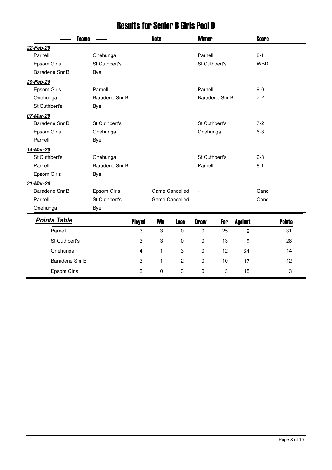### Results for Senior B Girls Pool D

| <b>Teams</b>        |                |               | <b>Note</b> |                       |               | <b>Winner</b>  |                | <b>Score</b> |               |
|---------------------|----------------|---------------|-------------|-----------------------|---------------|----------------|----------------|--------------|---------------|
| 22-Feb-20           |                |               |             |                       |               |                |                |              |               |
| Parnell             | Onehunga       |               |             |                       | Parnell       |                |                | $8 - 1$      |               |
| Epsom Girls         | St Cuthbert's  |               |             |                       | St Cuthbert's |                |                | <b>WBD</b>   |               |
| Baradene Snr B      | <b>Bye</b>     |               |             |                       |               |                |                |              |               |
| 29-Feb-20           |                |               |             |                       |               |                |                |              |               |
| Epsom Girls         | Parnell        |               |             |                       | Parnell       |                |                | $9-0$        |               |
| Onehunga            | Baradene Snr B |               |             |                       |               | Baradene Snr B |                | $7-2$        |               |
| St Cuthbert's       | <b>Bye</b>     |               |             |                       |               |                |                |              |               |
| 07-Mar-20           |                |               |             |                       |               |                |                |              |               |
| Baradene Snr B      | St Cuthbert's  |               |             |                       | St Cuthbert's |                |                | $7-2$        |               |
| Epsom Girls         | Onehunga       |               |             |                       | Onehunga      |                |                | $6 - 3$      |               |
| Parnell             | Bye            |               |             |                       |               |                |                |              |               |
| 14-Mar-20           |                |               |             |                       |               |                |                |              |               |
| St Cuthbert's       | Onehunga       |               |             |                       | St Cuthbert's |                |                | $6 - 3$      |               |
| Parnell             | Baradene Snr B |               |             |                       | Parnell       |                |                | $8 - 1$      |               |
| Epsom Girls         | Bye            |               |             |                       |               |                |                |              |               |
| 21-Mar-20           |                |               |             |                       |               |                |                |              |               |
| Baradene Snr B      | Epsom Girls    |               |             | Game Cancelled        |               |                |                | Canc         |               |
| Parnell             | St Cuthbert's  |               |             | <b>Game Cancelled</b> |               |                |                | Canc         |               |
| Onehunga            | <b>Bye</b>     |               |             |                       |               |                |                |              |               |
| <b>Points Table</b> |                | <b>Played</b> | <b>Win</b>  | <b>Loss</b>           | <b>Draw</b>   | For            | <b>Against</b> |              | <b>Points</b> |
| Parnell             |                | 3             | 3           | $\Omega$              | $\mathbf 0$   | 25             | $\overline{c}$ |              | 31            |
| St Cuthbert's       |                | 3             | 3           | $\Omega$              | 0             | 13             | 5              |              | 28            |
|                     |                |               |             |                       |               |                |                |              |               |
| Onehunga            |                | 4             | 1           | 3                     | $\mathbf 0$   | 12             | 24             |              | 14            |
| Baradene Snr B      |                | 3             | 1           | $\overline{c}$        | $\mathbf 0$   | 10             | 17             |              | 12            |
| Epsom Girls         |                | 3             | $\mathbf 0$ | 3                     | 0             | 3              | 15             |              | 3             |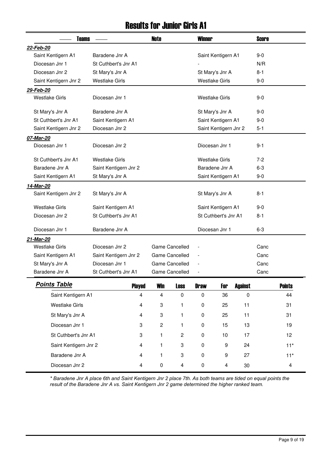#### Results for Junior Girls A1

| <b>Teams</b>          |                       | <b>Note</b>    |                | <b>Winner</b>            |                       |                | <b>Score</b> |               |
|-----------------------|-----------------------|----------------|----------------|--------------------------|-----------------------|----------------|--------------|---------------|
| 22-Feb-20             |                       |                |                |                          |                       |                |              |               |
| Saint Kentigern A1    | Baradene Jnr A        |                |                |                          | Saint Kentigern A1    |                | $9 - 0$      |               |
| Diocesan Jnr 1        | St Cuthbert's Jnr A1  |                |                |                          |                       |                | N/R          |               |
| Diocesan Jnr 2        | St Mary's Jnr A       |                |                |                          | St Mary's Jnr A       |                | $8 - 1$      |               |
| Saint Kentigern Jnr 2 | <b>Westlake Girls</b> |                |                |                          | <b>Westlake Girls</b> |                | $9-0$        |               |
| 29-Feb-20             |                       |                |                |                          |                       |                |              |               |
| <b>Westlake Girls</b> | Diocesan Jnr 1        |                |                |                          | <b>Westlake Girls</b> |                | $9 - 0$      |               |
| St Mary's Jnr A       | Baradene Jnr A        |                |                |                          | St Mary's Jnr A       |                | $9-0$        |               |
| St Cuthbert's Jnr A1  | Saint Kentigern A1    |                |                |                          | Saint Kentigern A1    |                | $9-0$        |               |
| Saint Kentigern Jnr 2 | Diocesan Jnr 2        |                |                |                          | Saint Kentigern Jnr 2 |                | $5 - 1$      |               |
| 07-Mar-20             |                       |                |                |                          |                       |                |              |               |
| Diocesan Jnr 1        | Diocesan Jnr 2        |                |                |                          | Diocesan Jnr 1        |                | $9 - 1$      |               |
| St Cuthbert's Jnr A1  | <b>Westlake Girls</b> |                |                |                          | <b>Westlake Girls</b> |                | $7 - 2$      |               |
| Baradene Jnr A        | Saint Kentigern Jnr 2 |                |                |                          | Baradene Jnr A        |                | $6 - 3$      |               |
| Saint Kentigern A1    | St Mary's Jnr A       |                |                |                          | Saint Kentigern A1    |                | $9-0$        |               |
| 14-Mar-20             |                       |                |                |                          |                       |                |              |               |
| Saint Kentigern Jnr 2 | St Mary's Jnr A       |                |                |                          | St Mary's Jnr A       |                | $8 - 1$      |               |
| <b>Westlake Girls</b> | Saint Kentigern A1    |                |                |                          | Saint Kentigern A1    |                | $9-0$        |               |
| Diocesan Jnr 2        | St Cuthbert's Jnr A1  |                |                |                          | St Cuthbert's Jnr A1  |                | $8 - 1$      |               |
| Diocesan Jnr 1        | Baradene Jnr A        |                |                |                          | Diocesan Jnr 1        |                | $6 - 3$      |               |
| 21-Mar-20             |                       |                |                |                          |                       |                |              |               |
| <b>Westlake Girls</b> | Diocesan Jnr 2        |                | Game Cancelled |                          |                       |                | Canc         |               |
| Saint Kentigern A1    | Saint Kentigern Jnr 2 |                | Game Cancelled |                          |                       |                | Canc         |               |
| St Mary's Jnr A       | Diocesan Jnr 1        |                | Game Cancelled |                          |                       |                | Canc         |               |
| Baradene Jnr A        | St Cuthbert's Jnr A1  |                | Game Cancelled | $\overline{\phantom{a}}$ |                       |                | Canc         |               |
| <u>Points Table</u>   | <b>Played</b>         | <b>Win</b>     | <b>Loss</b>    | <b>Draw</b>              | For                   | <b>Against</b> |              | <b>Points</b> |
| Saint Kentigern A1    | $\overline{4}$        | $\overline{4}$ | $\pmb{0}$      | $\pmb{0}$                | 36                    | $\pmb{0}$      |              | 44            |
| <b>Westlake Girls</b> | 4                     | 3              | 1              | $\pmb{0}$                | 25                    | 11             |              | 31            |
| St Mary's Jnr A       | 4                     | $\sqrt{3}$     | 1              | 0                        | 25                    | 11             |              | 31            |
| Diocesan Jnr 1        | $\boldsymbol{3}$      | $\sqrt{2}$     | 1              | $\pmb{0}$                | 15                    | 13             |              | 19            |
| St Cuthbert's Jnr A1  | 3                     | 1              | $\overline{c}$ | 0                        | 10                    | 17             |              | 12            |
| Saint Kentigern Jnr 2 | 4                     | 1              | 3              | 0                        | 9                     | 24             |              | $11*$         |
| Baradene Jnr A        | $\overline{4}$        | 1              | 3              | 0                        | 9                     | 27             |              | $11*$         |
| Diocesan Jnr 2        | 4                     | $\pmb{0}$      | 4              | $\pmb{0}$                | 4                     | 30             |              | 4             |

*\* Baradene Jnr A place 6th and Saint Kentigern Jnr 2 place 7th. As both teams are tided on equal points the result of the Baradene Jnr A vs. Saint Kentigern Jnr 2 game determined the higher ranked team.*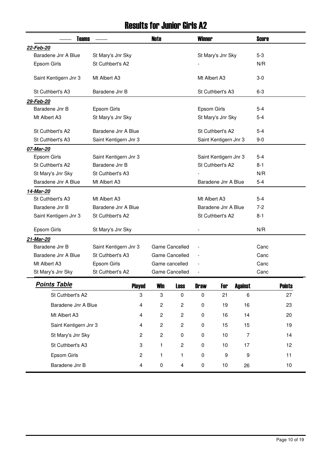### Results for Junior Girls A2

| <b>Teams</b>          | <b>Note</b>           | <b>Winner</b> |                         |                          |                       | <b>Score</b>     |         |               |
|-----------------------|-----------------------|---------------|-------------------------|--------------------------|-----------------------|------------------|---------|---------------|
| 22-Feb-20             |                       |               |                         |                          |                       |                  |         |               |
| Baradene Jnr A Blue   | St Mary's Jnr Sky     |               |                         |                          | St Mary's Jnr Sky     |                  | $5 - 3$ |               |
| Epsom Girls           | St Cuthbert's A2      |               |                         |                          |                       |                  | N/R     |               |
| Saint Kentigern Jnr 3 | Mt Albert A3          |               |                         | Mt Albert A3             |                       |                  | $3-0$   |               |
| St Cuthbert's A3      | Baradene Jnr B        |               |                         |                          | St Cuthbert's A3      |                  | $6 - 3$ |               |
| 29-Feb-20             |                       |               |                         |                          |                       |                  |         |               |
| Baradene Jnr B        | Epsom Girls           |               |                         | Epsom Girls              |                       |                  | $5-4$   |               |
| Mt Albert A3          | St Mary's Jnr Sky     |               |                         |                          | St Mary's Jnr Sky     |                  | $5 - 4$ |               |
| St Cuthbert's A2      | Baradene Jnr A Blue   |               |                         |                          | St Cuthbert's A2      |                  | $5-4$   |               |
| St Cuthbert's A3      | Saint Kentigern Jnr 3 |               |                         |                          | Saint Kentigern Jnr 3 |                  | $9-0$   |               |
| 07-Mar-20             |                       |               |                         |                          |                       |                  |         |               |
| Epsom Girls           | Saint Kentigern Jnr 3 |               |                         |                          | Saint Kentigern Jnr 3 |                  | 5-4     |               |
| St Cuthbert's A2      | Baradene Jnr B        |               |                         |                          | St Cuthbert's A2      |                  | 8-1     |               |
| St Mary's Jnr Sky     | St Cuthbert's A3      |               |                         |                          |                       |                  | N/R     |               |
| Baradene Jnr A Blue   | Mt Albert A3          |               |                         |                          | Baradene Jnr A Blue   |                  | $5 - 4$ |               |
| 14-Mar-20             |                       |               |                         |                          |                       |                  |         |               |
| St Cuthbert's A3      | Mt Albert A3          |               |                         | Mt Albert A3             |                       |                  | 5-4     |               |
| Baradene Jnr B        | Baradene Jnr A Blue   |               |                         |                          | Baradene Jnr A Blue   |                  | $7 - 2$ |               |
| Saint Kentigern Jnr 3 | St Cuthbert's A2      |               |                         |                          | St Cuthbert's A2      |                  | $8 - 1$ |               |
| Epsom Girls           | St Mary's Jnr Sky     |               |                         |                          |                       |                  | N/R     |               |
| 21-Mar-20             |                       |               |                         |                          |                       |                  |         |               |
| Baradene Jnr B        | Saint Kentigern Jnr 3 |               | Game Cancelled          | Ĭ.                       |                       |                  | Canc    |               |
| Baradene Jnr A Blue   | St Cuthbert's A3      |               | Game Cancelled          | $\overline{a}$           |                       |                  | Canc    |               |
| Mt Albert A3          | Epsom Girls           |               | Game cancelled          |                          |                       |                  | Canc    |               |
| St Mary's Jnr Sky     | St Cuthbert's A2      |               | Game Cancelled          | $\overline{\phantom{a}}$ |                       |                  | Canc    |               |
| <b>Points Table</b>   | <b>Played</b>         | <b>Win</b>    | <b>Loss</b>             | <b>Draw</b>              | For                   | <b>Against</b>   |         | <b>Points</b> |
| St Cuthbert's A2      | 3                     | 3             | $\mathbf 0$             | $\pmb{0}$                | 21                    | 6                |         | 27            |
| Baradene Jnr A Blue   | 4                     | $\mathbf{2}$  | $\overline{\mathbf{c}}$ | $\pmb{0}$                | 19                    | 16               |         | 23            |
| Mt Albert A3          | 4                     | $\mathbf{2}$  | $\overline{c}$          | 0                        | 16                    | 14               |         | 20            |
| Saint Kentigern Jnr 3 | 4                     | $\mathbf{2}$  | $\mathbf{2}$            | $\pmb{0}$                | 15                    | 15               |         | 19            |
| St Mary's Jnr Sky     | 2                     | $\mathbf{2}$  | $\mathbf 0$             | 0                        | 10                    | $\overline{7}$   |         | 14            |
| St Cuthbert's A3      | 3                     | 1             | $\overline{c}$          | 0                        | 10                    | 17               |         | 12            |
| Epsom Girls           | $\overline{c}$        | 1             | 1                       | $\pmb{0}$                | $\boldsymbol{9}$      | $\boldsymbol{9}$ |         | 11            |
| Baradene Jnr B        | 4                     | $\pmb{0}$     | 4                       | $\pmb{0}$                | 10                    | 26               |         | 10            |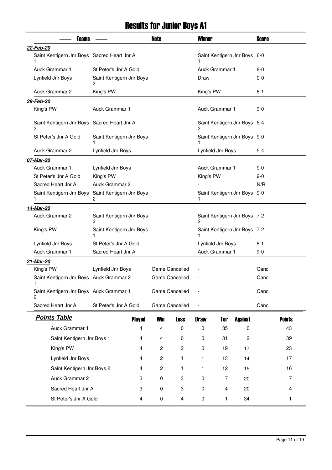# Results for Junior Boys A1

| <b>Teams</b>                                      |                               | <b>Note</b>      |                | <b>Winner</b>  |                   |                              | <b>Score</b> |               |
|---------------------------------------------------|-------------------------------|------------------|----------------|----------------|-------------------|------------------------------|--------------|---------------|
| 22-Feb-20                                         |                               |                  |                |                |                   |                              |              |               |
| Saint Kentigern Jnr Boys Sacred Heart Jnr A<br>1  |                               |                  |                |                |                   | Saint Kentigern Jnr Boys 6-0 |              |               |
| Auck Grammar 1                                    | St Peter's Jnr A Gold         |                  |                |                | Auck Grammar 1    |                              | $8-0$        |               |
| Lynfield Jnr Boys                                 | Saint Kentigern Jnr Boys<br>2 |                  |                | Draw           |                   |                              | $0-0$        |               |
| Auck Grammar 2                                    | King's PW                     |                  |                | King's PW      |                   |                              | 8-1          |               |
| 29-Feb-20                                         |                               |                  |                |                |                   |                              |              |               |
| King's PW                                         | Auck Grammar 1                |                  |                |                | Auck Grammar 1    |                              | $9-0$        |               |
| Saint Kentigern Jnr Boys Sacred Heart Jnr A<br>2  |                               |                  |                | 2              |                   | Saint Kentigern Jnr Boys 5-4 |              |               |
| St Peter's Jnr A Gold                             | Saint Kentigern Jnr Boys      |                  |                |                |                   | Saint Kentigern Jnr Boys 9-0 |              |               |
| Auck Grammar 2                                    | Lynfield Jnr Boys             |                  |                |                | Lynfield Jnr Boys |                              | 5-4          |               |
| 07-Mar-20                                         |                               |                  |                |                |                   |                              |              |               |
| Auck Grammar 1                                    | Lynfield Jnr Boys             |                  |                |                | Auck Grammar 1    |                              | $9-0$        |               |
| St Peter's Jnr A Gold                             | King's PW                     |                  |                | King's PW      |                   |                              | $9-0$        |               |
| Sacred Heart Jnr A                                | <b>Auck Grammar 2</b>         |                  |                |                |                   |                              | N/R          |               |
| Saint Kentigern Jnr Boys Saint Kentigern Jnr Boys | 2                             |                  |                | 1              |                   | Saint Kentigern Jnr Boys 9-0 |              |               |
| 14-Mar-20                                         |                               |                  |                |                |                   |                              |              |               |
| Auck Grammar 2                                    | Saint Kentigern Jnr Boys<br>2 |                  |                | 2              |                   | Saint Kentigern Jnr Boys 7-2 |              |               |
| King's PW                                         | Saint Kentigern Jnr Boys<br>1 |                  |                |                |                   | Saint Kentigern Jnr Boys 7-2 |              |               |
| Lynfield Jnr Boys                                 | St Peter's Jnr A Gold         |                  |                |                | Lynfield Jnr Boys |                              | $8 - 1$      |               |
| Auck Grammar 1                                    | Sacred Heart Jnr A            |                  |                |                | Auck Grammar 1    |                              | $9 - 0$      |               |
| 21-Mar-20                                         |                               |                  |                |                |                   |                              |              |               |
| King's PW                                         | Lynfield Jnr Boys             |                  | Game Cancelled |                |                   |                              | Canc         |               |
| Saint Kentigern Jnr Boys Auck Grammar 2           |                               |                  | Game Cancelled |                |                   |                              | Canc         |               |
| 1.<br>Saint Kentigern Jnr Boys Auck Grammar 1     |                               |                  | Game Cancelled |                |                   |                              | Canc         |               |
| 2<br>Sacred Heart Jnr A                           | St Peter's Jnr A Gold         |                  | Game Cancelled | $\overline{a}$ |                   |                              | Canc         |               |
| <b>Points Table</b>                               |                               |                  |                |                |                   |                              |              |               |
|                                                   | <b>Played</b>                 | <b>Win</b>       | <b>Loss</b>    | <b>Draw</b>    | For               | <b>Against</b>               |              | <b>Points</b> |
| Auck Grammar 1                                    | 4                             | 4                | $\mathbf 0$    | 0              | 35                | 0                            |              | 43            |
| Saint Kentigern Jnr Boys 1                        | 4                             | 4                | $\mathbf 0$    | 0              | 31                | 2                            |              | 39            |
| King's PW                                         | 4                             | $\overline{c}$   | $\overline{c}$ | 0              | 19                | 17                           |              | 23            |
| Lynfield Jnr Boys                                 | 4                             | $\boldsymbol{2}$ | 1              | 1              | 13                | 14                           |              | 17            |
| Saint Kentigern Jnr Boys 2                        | 4                             | $\boldsymbol{2}$ | 1              | 1              | 12                | 15                           |              | 16            |
| Auck Grammar 2                                    | 3                             | $\pmb{0}$        | 3              | 0              | 7                 | 20                           |              | 7             |
| Sacred Heart Jnr A                                | 3                             | 0                | 3              | 0              | 4                 | 20                           |              | 4             |
| St Peter's Jnr A Gold                             | 4                             | $\pmb{0}$        | 4              | 0              | 1                 | 34                           |              | 1             |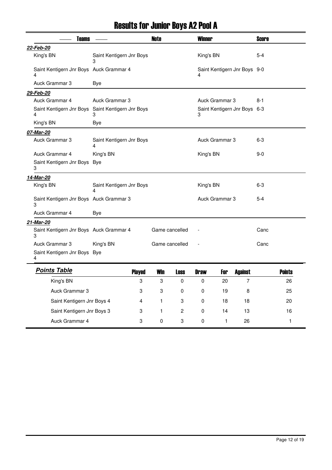# Results for Junior Boys A2 Pool A

| <b>Teams</b>                                           |                               |   | <b>Note</b>               |                         | <b>Winner</b> |                |                              | <b>Score</b> |               |
|--------------------------------------------------------|-------------------------------|---|---------------------------|-------------------------|---------------|----------------|------------------------------|--------------|---------------|
| 22-Feb-20                                              |                               |   |                           |                         |               |                |                              |              |               |
| King's BN                                              | Saint Kentigern Jnr Boys<br>3 |   |                           |                         | King's BN     |                |                              | $5 - 4$      |               |
| Saint Kentigern Jnr Boys Auck Grammar 4<br>4           |                               |   |                           |                         | 4             |                | Saint Kentigern Jnr Boys 9-0 |              |               |
| Auck Grammar 3                                         | Bye                           |   |                           |                         |               |                |                              |              |               |
| 29-Feb-20                                              |                               |   |                           |                         |               |                |                              |              |               |
| Auck Grammar 4                                         | Auck Grammar 3                |   |                           |                         |               | Auck Grammar 3 |                              | 8-1          |               |
| Saint Kentigern Jnr Boys Saint Kentigern Jnr Boys<br>4 | 3                             |   |                           |                         | 3             |                | Saint Kentigern Jnr Boys 6-3 |              |               |
| King's BN                                              | Bye                           |   |                           |                         |               |                |                              |              |               |
| 07-Mar-20                                              |                               |   |                           |                         |               |                |                              |              |               |
| Auck Grammar 3                                         | Saint Kentigern Jnr Boys<br>4 |   |                           |                         |               | Auck Grammar 3 |                              | 6-3          |               |
| Auck Grammar 4                                         | King's BN                     |   |                           |                         | King's BN     |                |                              | $9-0$        |               |
| Saint Kentigern Jnr Boys Bye<br>3                      |                               |   |                           |                         |               |                |                              |              |               |
| 14-Mar-20                                              |                               |   |                           |                         |               |                |                              |              |               |
| King's BN                                              | Saint Kentigern Jnr Boys<br>4 |   |                           |                         | King's BN     |                |                              | 6-3          |               |
| Saint Kentigern Jnr Boys Auck Grammar 3<br>3           |                               |   |                           |                         |               | Auck Grammar 3 |                              | $5 - 4$      |               |
| Auck Grammar 4                                         | Bye                           |   |                           |                         |               |                |                              |              |               |
| 21-Mar-20                                              |                               |   |                           |                         |               |                |                              |              |               |
| Saint Kentigern Jnr Boys Auck Grammar 4<br>3           |                               |   | Game cancelled            |                         |               |                |                              | Canc         |               |
| Auck Grammar 3                                         | King's BN                     |   | Game cancelled            |                         |               |                |                              | Canc         |               |
| Saint Kentigern Jnr Boys Bye<br>4                      |                               |   |                           |                         |               |                |                              |              |               |
| <b>Points Table</b>                                    | <b>Played</b>                 |   | Win                       | <b>Loss</b>             | <b>Draw</b>   | For            | <b>Against</b>               |              | <b>Points</b> |
| King's BN                                              |                               | 3 | 3                         | 0                       | 0             | 20             | 7                            |              | 26            |
| Auck Grammar 3                                         |                               | 3 | $\ensuremath{\mathsf{3}}$ | $\pmb{0}$               | $\pmb{0}$     | 19             | 8                            |              | 25            |
| Saint Kentigern Jnr Boys 4                             |                               | 4 | 1                         | 3                       | $\pmb{0}$     | 18             | 18                           |              | 20            |
| Saint Kentigern Jnr Boys 3                             |                               | 3 | 1                         | $\overline{\mathbf{c}}$ | $\pmb{0}$     | 14             | 13                           |              | 16            |
| Auck Grammar 4                                         |                               | 3 | $\pmb{0}$                 | 3                       | $\pmb{0}$     | $\mathbf{1}$   | 26                           |              | 1             |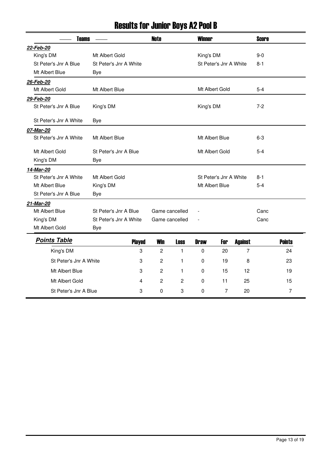# Results for Junior Boys A2 Pool B

| <b>Teams</b>           |                        |               | <b>Note</b>    |                | <b>Winner</b>  |                        |                | <b>Score</b> |               |
|------------------------|------------------------|---------------|----------------|----------------|----------------|------------------------|----------------|--------------|---------------|
| 22-Feb-20              |                        |               |                |                |                |                        |                |              |               |
| King's DM              | Mt Albert Gold         |               |                |                | King's DM      |                        |                | $9-0$        |               |
| St Peter's Jnr A Blue  | St Peter's Jnr A White |               |                |                |                | St Peter's Jnr A White |                | $8 - 1$      |               |
| Mt Albert Blue         | Bye                    |               |                |                |                |                        |                |              |               |
| 26-Feb-20              |                        |               |                |                |                |                        |                |              |               |
| Mt Albert Gold         | Mt Albert Blue         |               |                |                |                | Mt Albert Gold         |                | $5-4$        |               |
| 29-Feb-20              |                        |               |                |                |                |                        |                |              |               |
| St Peter's Jnr A Blue  | King's DM              |               |                |                | King's DM      |                        |                | $7 - 2$      |               |
| St Peter's Jnr A White | <b>Bye</b>             |               |                |                |                |                        |                |              |               |
| 07-Mar-20              |                        |               |                |                |                |                        |                |              |               |
| St Peter's Jnr A White | Mt Albert Blue         |               |                |                | Mt Albert Blue |                        |                | $6-3$        |               |
| Mt Albert Gold         | St Peter's Jnr A Blue  |               |                |                | Mt Albert Gold |                        |                | $5-4$        |               |
| King's DM              | Bye                    |               |                |                |                |                        |                |              |               |
| 14-Mar-20              |                        |               |                |                |                |                        |                |              |               |
| St Peter's Jnr A White | Mt Albert Gold         |               |                |                |                | St Peter's Jnr A White |                | $8 - 1$      |               |
| Mt Albert Blue         | King's DM              |               |                |                | Mt Albert Blue |                        |                | $5 - 4$      |               |
| St Peter's Jnr A Blue  | Bye                    |               |                |                |                |                        |                |              |               |
| 21-Mar-20              |                        |               |                |                |                |                        |                |              |               |
| Mt Albert Blue         | St Peter's Jnr A Blue  |               | Game cancelled |                |                |                        |                | Canc         |               |
| King's DM              | St Peter's Jnr A White |               | Game cancelled |                |                |                        |                | Canc         |               |
| Mt Albert Gold         | <b>Bye</b>             |               |                |                |                |                        |                |              |               |
| <b>Points Table</b>    |                        | <b>Played</b> | <b>Win</b>     | <b>Loss</b>    | <b>Draw</b>    | For                    | <b>Against</b> |              | <b>Points</b> |
| King's DM              |                        | 3             | $\mathbf{2}$   | $\mathbf{1}$   | 0              | 20                     | $\overline{7}$ |              | 24            |
| St Peter's Jnr A White |                        | 3             | $\overline{c}$ | 1              | 0              | 19                     | 8              |              | 23            |
| Mt Albert Blue         |                        | 3             | $\mathbf{2}$   | 1              | 0              | 15                     | 12             |              | 19            |
| Mt Albert Gold         |                        | 4             | $\overline{c}$ | $\overline{c}$ | 0              | 11                     | 25             |              | 15            |
| St Peter's Jnr A Blue  |                        | 3             | 0              | 3              | 0              | $\overline{7}$         | 20             |              | 7             |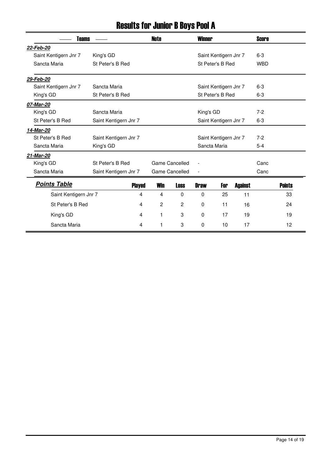# Results for Junior B Boys Pool A

| <b>Teams</b>          |                       | <b>Note</b> |                       | <b>Winner</b>         |                       |                |            |               |
|-----------------------|-----------------------|-------------|-----------------------|-----------------------|-----------------------|----------------|------------|---------------|
| 22-Feb-20             |                       |             |                       |                       |                       |                |            |               |
| Saint Kentigern Jnr 7 | King's GD             |             |                       |                       | Saint Kentigern Jnr 7 |                | $6 - 3$    |               |
| Sancta Maria          | St Peter's B Red      |             |                       |                       | St Peter's B Red      |                | <b>WBD</b> |               |
| 29-Feb-20             |                       |             |                       |                       |                       |                |            |               |
| Saint Kentigern Jnr 7 | Sancta Maria          |             |                       |                       | Saint Kentigern Jnr 7 |                | $6-3$      |               |
| King's GD             | St Peter's B Red      |             |                       |                       | St Peter's B Red      |                | $6-3$      |               |
| 07-Mar-20             |                       |             |                       |                       |                       |                |            |               |
| King's GD             | Sancta Maria          |             |                       | King's GD             |                       |                | $7-2$      |               |
| St Peter's B Red      | Saint Kentigern Jnr 7 |             |                       | Saint Kentigern Jnr 7 |                       |                | $6-3$      |               |
| 14-Mar-20             |                       |             |                       |                       |                       |                |            |               |
| St Peter's B Red      | Saint Kentigern Jnr 7 |             | Saint Kentigern Jnr 7 |                       |                       |                | $7-2$      |               |
| Sancta Maria          | King's GD             |             |                       | Sancta Maria          |                       |                | $5 - 4$    |               |
| 21-Mar-20             |                       |             |                       |                       |                       |                |            |               |
| King's GD             | St Peter's B Red      |             | Game Cancelled        |                       |                       |                | Canc       |               |
| Sancta Maria          | Saint Kentigern Jnr 7 |             | <b>Game Cancelled</b> |                       |                       |                | Canc       |               |
| <b>Points Table</b>   | <b>Played</b>         | <b>Win</b>  | <b>Loss</b>           | <b>Draw</b>           | For                   | <b>Against</b> |            | <b>Points</b> |
| Saint Kentigern Jnr 7 | $\overline{4}$        | 4           | $\mathbf 0$           | 0                     | 25                    | 11             |            | 33            |
| St Peter's B Red      | 4                     | 2           | 2                     | 0                     | 11                    | 16             |            | 24            |
| King's GD             | 4                     | 1           | 3                     | 0                     | 17                    | 19             |            | 19            |
| Sancta Maria          | 4                     | 1           | 3                     | $\mathbf{0}$          | 10                    | 17             |            | 12            |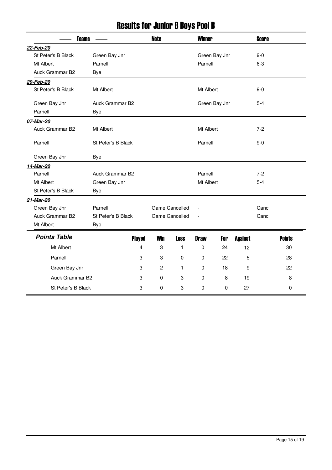# Results for Junior B Boys Pool B

| <b>Teams</b>        |                    |               | <b>Note</b> |                       | <b>Winner</b> |               |                |         |               |
|---------------------|--------------------|---------------|-------------|-----------------------|---------------|---------------|----------------|---------|---------------|
| 22-Feb-20           |                    |               |             |                       |               |               |                |         |               |
| St Peter's B Black  | Green Bay Jnr      |               |             |                       |               | Green Bay Jnr |                | $9-0$   |               |
| Mt Albert           | Parnell            |               |             |                       | Parnell       |               |                | $6 - 3$ |               |
| Auck Grammar B2     | <b>Bye</b>         |               |             |                       |               |               |                |         |               |
| 29-Feb-20           |                    |               |             |                       |               |               |                |         |               |
| St Peter's B Black  | Mt Albert          |               |             |                       | Mt Albert     |               |                | $9-0$   |               |
| Green Bay Jnr       | Auck Grammar B2    |               |             |                       |               | Green Bay Jnr |                | $5 - 4$ |               |
| Parnell             | <b>Bye</b>         |               |             |                       |               |               |                |         |               |
| 07-Mar-20           |                    |               |             |                       |               |               |                |         |               |
| Auck Grammar B2     | Mt Albert          |               |             |                       | Mt Albert     |               |                | $7 - 2$ |               |
| Parnell             | St Peter's B Black |               |             |                       | Parnell       |               |                | $9-0$   |               |
| Green Bay Jnr       | <b>Bye</b>         |               |             |                       |               |               |                |         |               |
| 14-Mar-20           |                    |               |             |                       |               |               |                |         |               |
| Parnell             | Auck Grammar B2    |               |             |                       | Parnell       |               |                | $7 - 2$ |               |
| Mt Albert           | Green Bay Jnr      |               |             |                       | Mt Albert     |               |                | $5 - 4$ |               |
| St Peter's B Black  | <b>Bye</b>         |               |             |                       |               |               |                |         |               |
| 21-Mar-20           |                    |               |             |                       |               |               |                |         |               |
| Green Bay Jnr       | Parnell            |               |             | Game Cancelled        |               |               |                | Canc    |               |
| Auck Grammar B2     | St Peter's B Black |               |             | <b>Game Cancelled</b> |               |               |                | Canc    |               |
| Mt Albert           | Bye                |               |             |                       |               |               |                |         |               |
| <b>Points Table</b> |                    | <b>Played</b> | <b>Win</b>  | <b>Loss</b>           | <b>Draw</b>   | For           | <b>Against</b> |         | <b>Points</b> |
| Mt Albert           |                    | 4             | 3           | $\mathbf{1}$          | 0             | 24            | 12             |         | 30            |
| Parnell             |                    | 3             | 3           | 0                     | 0             | 22            | 5              |         | 28            |
| Green Bay Jnr       |                    | 3             | 2           | 1                     | 0             | 18            | 9              |         | 22            |
| Auck Grammar B2     |                    | 3             | 0           | 3                     | 0             | 8             | 19             |         | 8             |
| St Peter's B Black  |                    | 3             | 0           | 3                     | 0             | $\mathbf 0$   | 27             |         | 0             |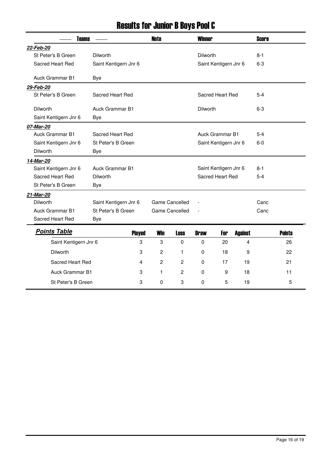# Results for Junior B Boys Pool C

| <b>Teams</b> |                        |                        | <b>Note</b>   |                | <b>Winner</b>  |                        |                       | <b>Score</b>   |         |               |
|--------------|------------------------|------------------------|---------------|----------------|----------------|------------------------|-----------------------|----------------|---------|---------------|
| 22-Feb-20    |                        |                        |               |                |                |                        |                       |                |         |               |
|              | St Peter's B Green     | <b>Dilworth</b>        |               |                |                | Dilworth               |                       |                | $8 - 1$ |               |
|              | Sacred Heart Red       | Saint Kentigern Jnr 6  |               |                |                |                        | Saint Kentigern Jnr 6 |                | $6 - 3$ |               |
|              | Auck Grammar B1        |                        |               |                |                |                        |                       |                |         |               |
|              |                        | Bye                    |               |                |                |                        |                       |                |         |               |
| 29-Feb-20    |                        |                        |               |                |                |                        |                       |                |         |               |
|              | St Peter's B Green     | Sacred Heart Red       |               |                |                |                        | Sacred Heart Red      |                | $5 - 4$ |               |
| Dilworth     |                        | Auck Grammar B1        |               |                |                | <b>Dilworth</b>        |                       |                | $6 - 3$ |               |
|              | Saint Kentigern Jnr 6  | <b>Bye</b>             |               |                |                |                        |                       |                |         |               |
| 07-Mar-20    |                        |                        |               |                |                |                        |                       |                |         |               |
|              | <b>Auck Grammar B1</b> | Sacred Heart Red       |               |                |                | <b>Auck Grammar B1</b> |                       |                | $5 - 4$ |               |
|              | Saint Kentigern Jnr 6  | St Peter's B Green     |               |                |                | Saint Kentigern Jnr 6  |                       |                | $6-0$   |               |
| Dilworth     |                        | Bye                    |               |                |                |                        |                       |                |         |               |
| 14-Mar-20    |                        |                        |               |                |                |                        |                       |                |         |               |
|              | Saint Kentigern Jnr 6  | <b>Auck Grammar B1</b> |               |                |                |                        | Saint Kentigern Jnr 6 |                | $8 - 1$ |               |
|              | Sacred Heart Red       | <b>Dilworth</b>        |               |                |                | Sacred Heart Red       |                       |                | $5 - 4$ |               |
|              | St Peter's B Green     | Bye                    |               |                |                |                        |                       |                |         |               |
| 21-Mar-20    |                        |                        |               |                |                |                        |                       |                |         |               |
| Dilworth     |                        | Saint Kentigern Jnr 6  |               |                | Game Cancelled |                        |                       |                | Canc    |               |
|              | <b>Auck Grammar B1</b> | St Peter's B Green     |               | Game Cancelled |                |                        |                       |                | Canc    |               |
|              | Sacred Heart Red       | Bye                    |               |                |                |                        |                       |                |         |               |
|              | <b>Points Table</b>    |                        | <b>Played</b> | <b>Win</b>     | <b>Loss</b>    | <b>Draw</b>            | For                   | <b>Against</b> |         | <b>Points</b> |
|              | Saint Kentigern Jnr 6  |                        | 3             | 3              | $\Omega$       | $\Omega$               | 20                    | 4              |         | 26            |
|              | Dilworth               |                        | 3             | 2              | 1              | $\mathbf 0$            | 18                    | 9              |         | 22            |
|              | Sacred Heart Red       |                        | 4             | $\mathbf{2}$   | $\overline{c}$ | $\Omega$               | 17                    | 19             |         | 21            |
|              | <b>Auck Grammar B1</b> |                        | 3             | 1              | $\overline{c}$ | $\mathbf 0$            | 9                     | 18             |         | 11            |
|              | St Peter's B Green     |                        | 3             | 0              | 3              | $\Omega$               | 5                     | 19             |         | 5             |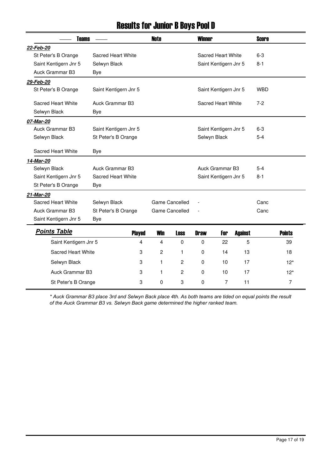## Results for Junior B Boys Pool D

| <b>Teams</b>                   |                       |                |                | <b>Winner</b>         |                       |                | <b>Score</b> |                |
|--------------------------------|-----------------------|----------------|----------------|-----------------------|-----------------------|----------------|--------------|----------------|
| 22-Feb-20                      |                       |                |                |                       |                       |                |              |                |
| St Peter's B Orange            | Sacred Heart White    |                |                |                       | Sacred Heart White    |                | $6 - 3$      |                |
| Saint Kentigern Jnr 5          | Selwyn Black          |                |                |                       | Saint Kentigern Jnr 5 |                | $8-1$        |                |
| Auck Grammar B3                | <b>Bye</b>            |                |                |                       |                       |                |              |                |
| 29-Feb-20                      |                       |                |                |                       |                       |                |              |                |
| St Peter's B Orange            | Saint Kentigern Jnr 5 |                |                |                       | Saint Kentigern Jnr 5 |                | <b>WBD</b>   |                |
| Sacred Heart White             | Auck Grammar B3       |                |                | Sacred Heart White    |                       |                | $7-2$        |                |
| Selwyn Black                   | Bye                   |                |                |                       |                       |                |              |                |
| 07-Mar-20                      |                       |                |                |                       |                       |                |              |                |
| Auck Grammar B3                | Saint Kentigern Jnr 5 |                |                | Saint Kentigern Jnr 5 |                       |                | 6-3          |                |
| Selwyn Black                   | St Peter's B Orange   |                |                | Selwyn Black          |                       |                | $5 - 4$      |                |
| Sacred Heart White             | <b>Bye</b>            |                |                |                       |                       |                |              |                |
| 14-Mar-20                      |                       |                |                |                       |                       |                |              |                |
| Selwyn Black                   | Auck Grammar B3       |                |                | Auck Grammar B3       |                       |                | $5 - 4$      |                |
| Saint Kentigern Jnr 5          | Sacred Heart White    |                |                |                       | Saint Kentigern Jnr 5 |                | $8 - 1$      |                |
| St Peter's B Orange            | Bye                   |                |                |                       |                       |                |              |                |
| 21-Mar-20                      |                       |                |                |                       |                       |                |              |                |
| Sacred Heart White             | Selwyn Black          | Game Cancelled |                |                       |                       |                | Canc         |                |
| Auck Grammar B3                | St Peter's B Orange   |                | Game Cancelled |                       |                       |                | Canc         |                |
| Saint Kentigern Jnr 5          | Bye                   |                |                |                       |                       |                |              |                |
| <b>Points Table</b>            | <b>Played</b>         | <b>Win</b>     | <b>Loss</b>    | <b>Draw</b>           | For                   | <b>Against</b> |              | <b>Points</b>  |
| Saint Kentigern Jnr 5          | 4                     | 4              | $\Omega$       | $\Omega$              | 22                    | 5              |              | 39             |
| <b>Sacred Heart White</b><br>3 |                       | $\overline{c}$ | 1              | $\mathbf 0$           | 14                    | 13             |              | 18             |
| Selwyn Black                   | 3                     |                | $\mathbf{2}$   | $\mathbf 0$           | 10                    | 17             |              | $12*$          |
| Auck Grammar B3                | 3                     | 1              | $\overline{c}$ | 0                     | 10                    | 17             |              | $12*$          |
| St Peter's B Orange            | 3                     | 0              | 3              | 0                     | 7                     | 11             |              | $\overline{7}$ |

*\* Auck Grammar B3 place 3rd and Selwyn Back place 4th. As both teams are tided on equal points the result of the Auck Grammar B3 vs. Selwyn Back game determined the higher ranked team.*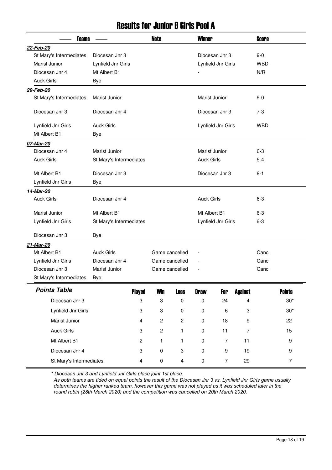#### Results for Junior B Girls Pool A

| <b>Teams</b>            |                         | <b>Note</b>             |                  | <b>Winner</b>           |                          |                    | <b>Score</b>   |         |                  |
|-------------------------|-------------------------|-------------------------|------------------|-------------------------|--------------------------|--------------------|----------------|---------|------------------|
| 22-Feb-20               |                         |                         |                  |                         |                          |                    |                |         |                  |
| St Mary's Intermediates | Diocesan Jnr 3          |                         |                  |                         |                          | Diocesan Jnr 3     |                | $9-0$   |                  |
| Marist Junior           | Lynfield Jnr Girls      |                         |                  |                         |                          | Lynfield Jnr Girls |                | WBD     |                  |
| Diocesan Jnr 4          | Mt Albert B1            |                         |                  |                         |                          |                    |                | N/R     |                  |
| <b>Auck Girls</b>       | Bye                     |                         |                  |                         |                          |                    |                |         |                  |
| 29-Feb-20               |                         |                         |                  |                         |                          |                    |                |         |                  |
| St Mary's Intermediates | Marist Junior           |                         |                  |                         | Marist Junior            |                    |                | $9 - 0$ |                  |
| Diocesan Jnr 3          | Diocesan Jnr 4          |                         |                  |                         |                          | Diocesan Jnr 3     |                | $7-3$   |                  |
| Lynfield Jnr Girls      | <b>Auck Girls</b>       |                         |                  |                         |                          | Lynfield Jnr Girls |                | WBD     |                  |
| Mt Albert B1            | <b>Bye</b>              |                         |                  |                         |                          |                    |                |         |                  |
| 07-Mar-20               |                         |                         |                  |                         |                          |                    |                |         |                  |
| Diocesan Jnr 4          | Marist Junior           |                         |                  |                         | Marist Junior            |                    |                | $6 - 3$ |                  |
| <b>Auck Girls</b>       | St Mary's Intermediates |                         |                  |                         | <b>Auck Girls</b>        |                    |                | $5 - 4$ |                  |
| Mt Albert B1            | Diocesan Jnr 3          |                         |                  |                         | Diocesan Jnr 3           |                    |                | $8 - 1$ |                  |
| Lynfield Jnr Girls      | <b>Bye</b>              |                         |                  |                         |                          |                    |                |         |                  |
| 14-Mar-20               |                         |                         |                  |                         |                          |                    |                |         |                  |
| <b>Auck Girls</b>       | Diocesan Jnr 4          |                         |                  |                         | <b>Auck Girls</b>        |                    |                | $6 - 3$ |                  |
| Marist Junior           | Mt Albert B1            |                         |                  |                         | Mt Albert B1             |                    |                | $6 - 3$ |                  |
| Lynfield Jnr Girls      | St Mary's Intermediates |                         |                  |                         |                          | Lynfield Jnr Girls |                | $6 - 3$ |                  |
| Diocesan Jnr 3          | Bye                     |                         |                  |                         |                          |                    |                |         |                  |
| 21-Mar-20               |                         |                         |                  |                         |                          |                    |                |         |                  |
| Mt Albert B1            | <b>Auck Girls</b>       |                         | Game cancelled   |                         | $\overline{a}$           |                    |                | Canc    |                  |
| Lynfield Jnr Girls      | Diocesan Jnr 4          |                         | Game cancelled   |                         | $\overline{\phantom{a}}$ |                    |                | Canc    |                  |
| Diocesan Jnr 3          | Marist Junior           |                         | Game cancelled   |                         | $\overline{\phantom{a}}$ |                    |                | Canc    |                  |
| St Mary's Intermediates | Bye                     |                         |                  |                         |                          |                    |                |         |                  |
| <b>Points Table</b>     |                         | <b>Played</b>           | <b>Win</b>       | <b>Loss</b>             | <b>Draw</b>              | For                | <b>Against</b> |         | <b>Points</b>    |
| Diocesan Jnr 3          |                         | 3                       | 3                | $\pmb{0}$               | $\pmb{0}$                | 24                 | $\overline{4}$ |         | $30*$            |
| Lynfield Jnr Girls      |                         | 3                       | 3                | $\pmb{0}$               | $\pmb{0}$                | 6                  | 3              |         | $30*$            |
| Marist Junior           |                         | 4                       | $\boldsymbol{2}$ | $\sqrt{2}$              | $\mathbf 0$              | 18                 | 9              |         | 22               |
| <b>Auck Girls</b>       |                         | 3                       | $\boldsymbol{2}$ | $\mathbf{1}$            | $\mathbf 0$              | 11                 | $\overline{7}$ |         | 15               |
| Mt Albert B1            |                         | $\overline{c}$          | 1                | $\mathbf{1}$            | $\mathbf 0$              | 7                  | 11             |         | $\boldsymbol{9}$ |
| Diocesan Jnr 4          |                         | 3                       | $\pmb{0}$        | 3                       | $\pmb{0}$                | $\boldsymbol{9}$   | 19             |         | 9                |
| St Mary's Intermediates |                         | $\overline{\mathbf{4}}$ | $\pmb{0}$        | $\overline{\mathbf{4}}$ | $\pmb{0}$                | $\overline{7}$     | 29             |         | $\overline{7}$   |

*\* Diocesan Jnr 3 and Lynfield Jnr Girls place joint 1st place.* 

 *As both teams are tided on equal points the result of the Diocesan Jnr 3 vs. Lynfield Jnr Girls game usually determines the higher ranked team, however this game was not played as it was scheduled later in the round robin (28th March 2020) and the competition was cancelled on 20th March 2020.*